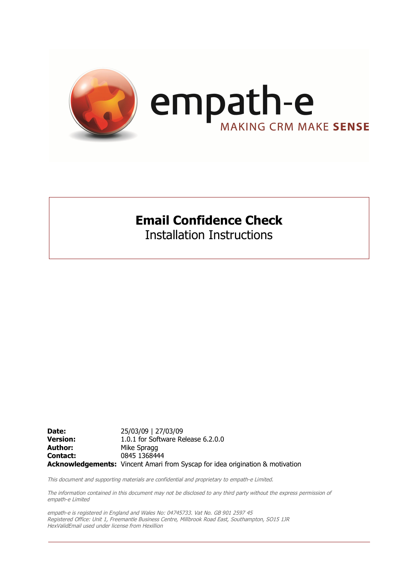

### **Email Confidence Check**

Installation Instructions

**Date:** 25/03/09 | 27/03/09 **Version:** 1.0.1 for Software Release 6.2.0.0 **Author:** Mike Spragg **Contact:** 0845 1368444 **Acknowledgements:** Vincent Amari from Syscap for idea origination & motivation

This document and supporting materials are confidential and proprietary to empath-e Limited.

The information contained in this document may not be disclosed to any third party without the express permission of empath-e Limited

empath-e is registered in England and Wales No: 04745733. Vat No. GB 901 2597 45 Registered Office: Unit 1, Freemantle Business Centre, Millbrook Road East, Southampton, SO15 1JR HexValidEmail used under license from Hexillion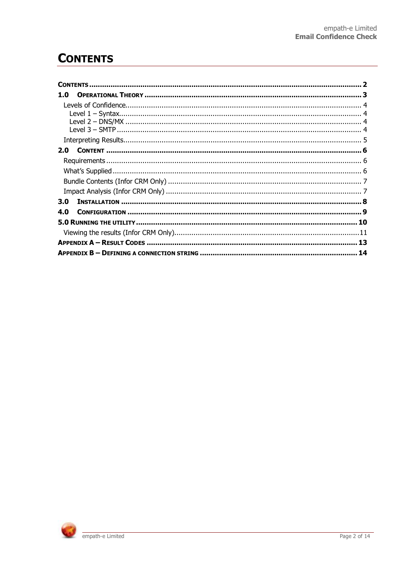# **CONTENTS**

| 1.0 |    |
|-----|----|
|     |    |
|     |    |
|     |    |
|     |    |
|     |    |
| 2.0 |    |
|     |    |
|     |    |
|     |    |
|     |    |
| 3.0 |    |
| 4.0 |    |
|     |    |
|     |    |
|     | 13 |
|     |    |

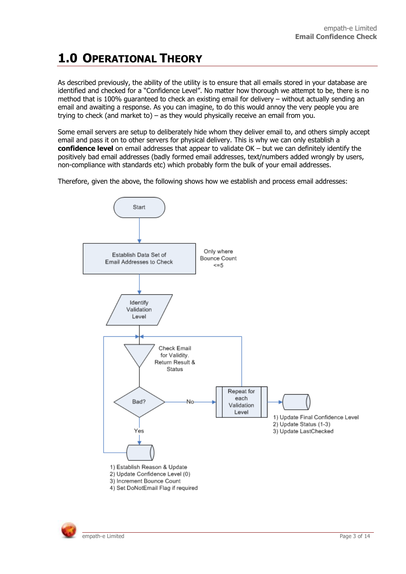# **1.0 OPERATIONAL THEORY**

As described previously, the ability of the utility is to ensure that all emails stored in your database are identified and checked for a "Confidence Level". No matter how thorough we attempt to be, there is no method that is 100% guaranteed to check an existing email for delivery – without actually sending an email and awaiting a response. As you can imagine, to do this would annoy the very people you are trying to check (and market to) – as they would physically receive an email from you.

Some email servers are setup to deliberately hide whom they deliver email to, and others simply accept email and pass it on to other servers for physical delivery. This is why we can only establish a **confidence level** on email addresses that appear to validate OK – but we can definitely identify the positively bad email addresses (badly formed email addresses, text/numbers added wrongly by users, non-compliance with standards etc) which probably form the bulk of your email addresses.

Therefore, given the above, the following shows how we establish and process email addresses:



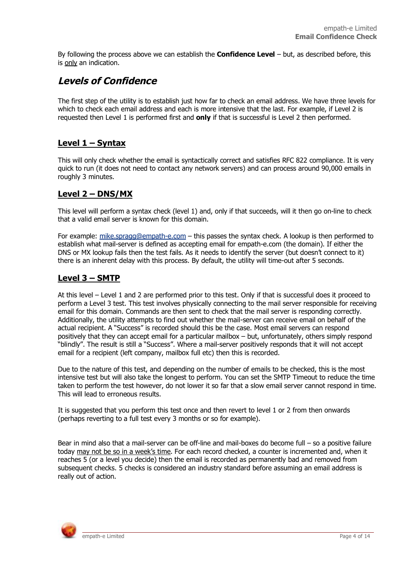By following the process above we can establish the **Confidence Level** – but, as described before, this is only an indication.

### **Levels of Confidence**

The first step of the utility is to establish just how far to check an email address. We have three levels for which to check each email address and each is more intensive that the last. For example, if Level 2 is requested then Level 1 is performed first and **only** if that is successful is Level 2 then performed.

#### **Level 1 – Syntax**

This will only check whether the email is syntactically correct and satisfies RFC 822 compliance. It is very quick to run (it does not need to contact any network servers) and can process around 90,000 emails in roughly 3 minutes.

#### **Level 2 – DNS/MX**

This level will perform a syntax check (level 1) and, only if that succeeds, will it then go on-line to check that a valid email server is known for this domain.

For example: mike.spragg@empath-e.com – this passes the syntax check. A lookup is then performed to establish what mail-server is defined as accepting email for empath-e.com (the domain). If either the DNS or MX lookup fails then the test fails. As it needs to identify the server (but doesn't connect to it) there is an inherent delay with this process. By default, the utility will time-out after 5 seconds.

#### **Level 3 – SMTP**

At this level – Level 1 and 2 are performed prior to this test. Only if that is successful does it proceed to perform a Level 3 test. This test involves physically connecting to the mail server responsible for receiving email for this domain. Commands are then sent to check that the mail server is responding correctly. Additionally, the utility attempts to find out whether the mail-server can receive email on behalf of the actual recipient. A "Success" is recorded should this be the case. Most email servers can respond positively that they can accept email for a particular mailbox – but, unfortunately, others simply respond "blindly". The result is still a "Success". Where a mail-server positively responds that it will not accept email for a recipient (left company, mailbox full etc) then this is recorded.

Due to the nature of this test, and depending on the number of emails to be checked, this is the most intensive test but will also take the longest to perform. You can set the SMTP Timeout to reduce the time taken to perform the test however, do not lower it so far that a slow email server cannot respond in time. This will lead to erroneous results.

It is suggested that you perform this test once and then revert to level 1 or 2 from then onwards (perhaps reverting to a full test every 3 months or so for example).

Bear in mind also that a mail-server can be off-line and mail-boxes do become full – so a positive failure today may not be so in a week's time. For each record checked, a counter is incremented and, when it reaches 5 (or a level you decide) then the email is recorded as permanently bad and removed from subsequent checks. 5 checks is considered an industry standard before assuming an email address is really out of action.

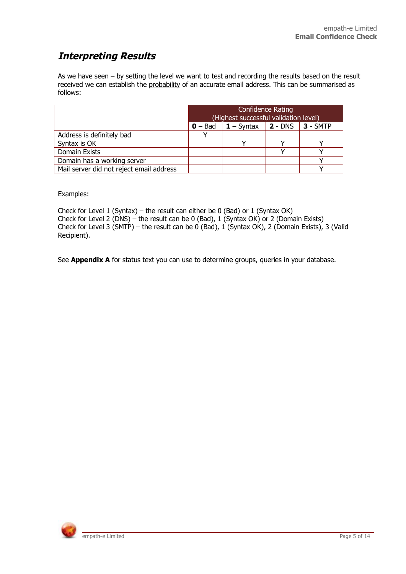### **Interpreting Results**

As we have seen – by setting the level we want to test and recording the results based on the result received we can establish the probability of an accurate email address. This can be summarised as follows:

| Confidence Rating<br>(Highest successful validation level) |                    |                                                     |  |  |
|------------------------------------------------------------|--------------------|-----------------------------------------------------|--|--|
|                                                            | $\mathbf{0}$ – Bad | $\vert$ 1 – Syntax $\vert$ 2 - DNS $\vert$ 3 - SMTP |  |  |
| Address is definitely bad                                  |                    |                                                     |  |  |
| Syntax is OK                                               |                    |                                                     |  |  |
| Domain Exists                                              |                    |                                                     |  |  |
| Domain has a working server                                |                    |                                                     |  |  |
| Mail server did not reject email address                   |                    |                                                     |  |  |

Examples:

Check for Level 1 (Syntax) – the result can either be 0 (Bad) or 1 (Syntax OK) Check for Level 2 (DNS) – the result can be 0 (Bad), 1 (Syntax OK) or 2 (Domain Exists) Check for Level 3 (SMTP) – the result can be 0 (Bad), 1 (Syntax OK), 2 (Domain Exists), 3 (Valid Recipient).

See **Appendix A** for status text you can use to determine groups, queries in your database.

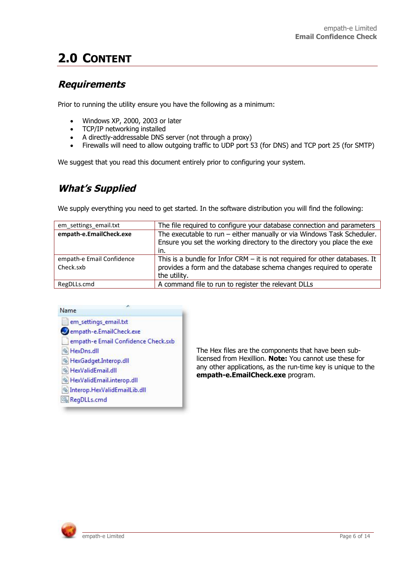# **2.0 CONTENT**

#### **Requirements**

Prior to running the utility ensure you have the following as a minimum:

- $\bullet$  Windows XP, 2000, 2003 or later
- TCP/IP networking installed
- A directly-addressable DNS server (not through a proxy)
- Firewalls will need to allow outgoing traffic to UDP port 53 (for DNS) and TCP port 25 (for SMTP)

We suggest that you read this document entirely prior to configuring your system.

### **What's Supplied**

We supply everything you need to get started. In the software distribution you will find the following:

| em settings email.txt                  | The file required to configure your database connection and parameters                                                                                               |
|----------------------------------------|----------------------------------------------------------------------------------------------------------------------------------------------------------------------|
| empath-e.EmailCheck.exe                | The executable to run - either manually or via Windows Task Scheduler.<br>Ensure you set the working directory to the directory you place the exe<br>in.             |
| empath-e Email Confidence<br>Check.sxb | This is a bundle for Infor CRM $-$ it is not required for other databases. It<br>provides a form and the database schema changes required to operate<br>the utility. |
| RegDLLs.cmd                            | A command file to run to register the relevant DLLs                                                                                                                  |



The Hex files are the components that have been sublicensed from Hexillion. **Note:** You cannot use these for any other applications, as the run-time key is unique to the **empath-e.EmailCheck.exe** program.

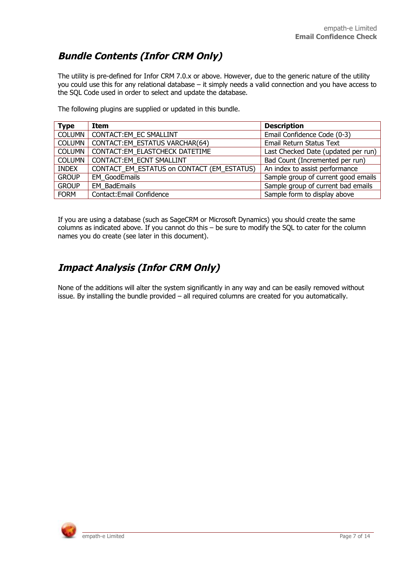### **Bundle Contents (Infor CRM Only)**

The utility is pre-defined for Infor CRM 7.0.x or above. However, due to the generic nature of the utility you could use this for any relational database – it simply needs a valid connection and you have access to the SQL Code used in order to select and update the database.

The following plugins are supplied or updated in this bundle.

| <b>Type</b>   | Item                                       | <b>Description</b>                  |
|---------------|--------------------------------------------|-------------------------------------|
| <b>COLUMN</b> | CONTACT: EM EC SMALLINT                    | Email Confidence Code (0-3)         |
| <b>COLUMN</b> | CONTACT:EM_ESTATUS VARCHAR(64)             | Email Return Status Text            |
| <b>COLUMN</b> | CONTACT:EM ELASTCHECK DATETIME             | Last Checked Date (updated per run) |
| <b>COLUMN</b> | CONTACT:EM ECNT SMALLINT                   | Bad Count (Incremented per run)     |
| <b>INDEX</b>  | CONTACT_EM_ESTATUS on CONTACT (EM_ESTATUS) | An index to assist performance      |
| <b>GROUP</b>  | <b>EM GoodEmails</b>                       | Sample group of current good emails |
| <b>GROUP</b>  | <b>EM BadEmails</b>                        | Sample group of current bad emails  |
| <b>FORM</b>   | Contact: Email Confidence                  | Sample form to display above        |

If you are using a database (such as SageCRM or Microsoft Dynamics) you should create the same columns as indicated above. If you cannot do this – be sure to modify the SQL to cater for the column names you do create (see later in this document).

### **Impact Analysis (Infor CRM Only)**

None of the additions will alter the system significantly in any way and can be easily removed without issue. By installing the bundle provided – all required columns are created for you automatically.

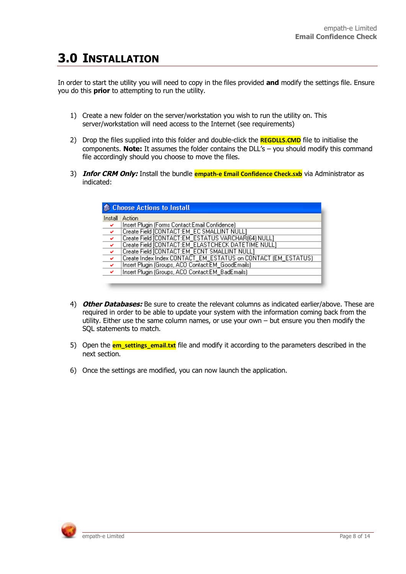## **3.0 INSTALLATION**

In order to start the utility you will need to copy in the files provided **and** modify the settings file. Ensure you do this **prior** to attempting to run the utility.

- 1) Create a new folder on the server/workstation you wish to run the utility on. This server/workstation will need access to the Internet (see requirements)
- 2) Drop the files supplied into this folder and double-click the **REGDLLS.CMD** file to initialise the components. **Note:** It assumes the folder contains the DLL's – you should modify this command file accordingly should you choose to move the files.
- 3) **Infor CRM Only:** Install the bundle **empath-e Email Confidence Check.sxb** via Administrator as indicated:

| <b>Choose Actions to Install</b> |                                                               |  |  |  |
|----------------------------------|---------------------------------------------------------------|--|--|--|
|                                  | Install   Action                                              |  |  |  |
| $\rightarrow$                    | Insert Plugin (Forms Contact:Email Confidence)                |  |  |  |
| $\overline{\mathscr{L}}$         | Create Field [CONTACT:EM_EC SMALLINT NULL]                    |  |  |  |
| $\overline{\mathcal{L}}$         | Create Field [CONTACT:EM_ESTATUS VARCHAR(64) NULL]            |  |  |  |
| $\overline{\phantom{a}}$         | Create Field [CONTACT:EM_ELASTCHECK DATETIME NULL]            |  |  |  |
| $\overline{\mathbf{v}}$          | Create Field [CONTACT:EM_ECNT SMALLINT NULL]                  |  |  |  |
| $\checkmark$                     | Create Index Index CONTACT_EM_ESTATUS on CONTACT (EM_ESTATUS) |  |  |  |
| $\overline{\mathbf{v}}$          | Insert Plugin (Groups, ACO Contact:EM_GoodEmails)             |  |  |  |
| $\checkmark$                     | Insert Plugin (Groups, ACO Contact:EM_BadEmails)              |  |  |  |
|                                  |                                                               |  |  |  |

- 4) **Other Databases:** Be sure to create the relevant columns as indicated earlier/above. These are required in order to be able to update your system with the information coming back from the utility. Either use the same column names, or use your own – but ensure you then modify the SQL statements to match.
- 5) Open the **em settings email.txt** file and modify it according to the parameters described in the next section.
- 6) Once the settings are modified, you can now launch the application.

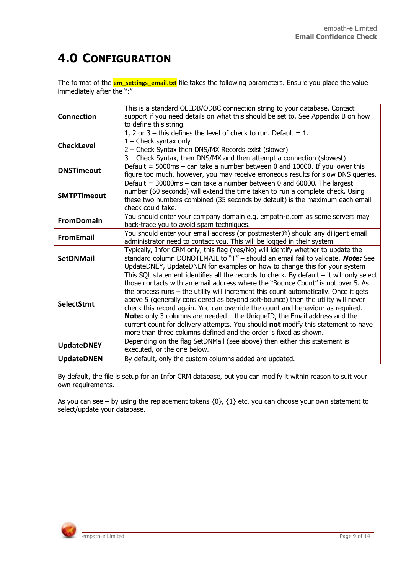# **4.0 CONFIGURATION**

The format of the **em\_settings\_email.txt** file takes the following parameters. Ensure you place the value immediately after the ":"

| <b>Connection</b>  | This is a standard OLEDB/ODBC connection string to your database. Contact<br>support if you need details on what this should be set to. See Appendix B on how<br>to define this string.                                                                                                                                                                                                                                                                                                                                                                                                                                                                                                |
|--------------------|----------------------------------------------------------------------------------------------------------------------------------------------------------------------------------------------------------------------------------------------------------------------------------------------------------------------------------------------------------------------------------------------------------------------------------------------------------------------------------------------------------------------------------------------------------------------------------------------------------------------------------------------------------------------------------------|
| <b>CheckLevel</b>  | 1, 2 or $3$ – this defines the level of check to run. Default = 1.<br>$1$ – Check syntax only<br>2 - Check Syntax then DNS/MX Records exist (slower)<br>3 - Check Syntax, then DNS/MX and then attempt a connection (slowest)                                                                                                                                                                                                                                                                                                                                                                                                                                                          |
| <b>DNSTimeout</b>  | Default = $5000$ ms – can take a number between 0 and 10000. If you lower this<br>figure too much, however, you may receive erroneous results for slow DNS queries.                                                                                                                                                                                                                                                                                                                                                                                                                                                                                                                    |
| <b>SMTPTimeout</b> | Default = $30000$ ms - can take a number between 0 and 60000. The largest<br>number (60 seconds) will extend the time taken to run a complete check. Using<br>these two numbers combined (35 seconds by default) is the maximum each email<br>check could take.                                                                                                                                                                                                                                                                                                                                                                                                                        |
| <b>FromDomain</b>  | You should enter your company domain e.g. empath-e.com as some servers may<br>back-trace you to avoid spam techniques.                                                                                                                                                                                                                                                                                                                                                                                                                                                                                                                                                                 |
| <b>FromEmail</b>   | You should enter your email address (or postmaster@) should any diligent email<br>administrator need to contact you. This will be logged in their system.                                                                                                                                                                                                                                                                                                                                                                                                                                                                                                                              |
| <b>SetDNMail</b>   | Typically, Infor CRM only, this flag (Yes/No) will identify whether to update the<br>standard column DONOTEMAIL to "T" - should an email fail to validate. <b>Note:</b> See<br>UpdateDNEY, UpdateDNEN for examples on how to change this for your system                                                                                                                                                                                                                                                                                                                                                                                                                               |
| <b>SelectStmt</b>  | This SQL statement identifies all the records to check. By default - it will only select<br>those contacts with an email address where the "Bounce Count" is not over 5. As<br>the process runs - the utility will increment this count automatically. Once it gets<br>above 5 (generally considered as beyond soft-bounce) then the utility will never<br>check this record again. You can override the count and behaviour as required.<br><b>Note:</b> only 3 columns are needed – the UniqueID, the Email address and the<br>current count for delivery attempts. You should not modify this statement to have<br>more than three columns defined and the order is fixed as shown. |
| <b>UpdateDNEY</b>  | Depending on the flag SetDNMail (see above) then either this statement is<br>executed, or the one below.                                                                                                                                                                                                                                                                                                                                                                                                                                                                                                                                                                               |
| <b>UpdateDNEN</b>  | By default, only the custom columns added are updated.                                                                                                                                                                                                                                                                                                                                                                                                                                                                                                                                                                                                                                 |

By default, the file is setup for an Infor CRM database, but you can modify it within reason to suit your own requirements.

As you can see – by using the replacement tokens  $\{0\}$ ,  $\{1\}$  etc. you can choose your own statement to select/update your database.

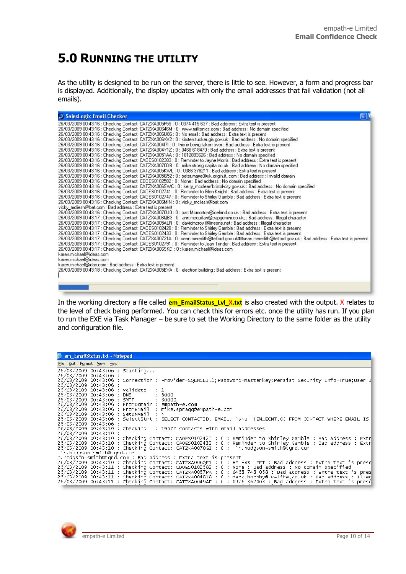# **5.0 RUNNING THE UTILITY**

As the utility is designed to be run on the server, there is little to see. However, a form and progress bar is displayed. Additionally, the display updates with only the email addresses that fail validation (not all emails).

| SalesLogix Email Checker<br>l - III                                                                                                                                                                                                                                                                                                                                                                                                                                                                                                                                                                                                                                                                                                                                                                                                                                                                                                                                                                                                                                                                                                                                                                                                                                                                                                                                                                                                                                                                                                                                                                                                                                                                                                                                                                                                                                                                                                                                                                                                                                                                                                                                                                                                                                                                                                                                                                                                                                                                                                                                                                                                                                                                                                                                                                                                                                                                                                                                                                                                                                |
|--------------------------------------------------------------------------------------------------------------------------------------------------------------------------------------------------------------------------------------------------------------------------------------------------------------------------------------------------------------------------------------------------------------------------------------------------------------------------------------------------------------------------------------------------------------------------------------------------------------------------------------------------------------------------------------------------------------------------------------------------------------------------------------------------------------------------------------------------------------------------------------------------------------------------------------------------------------------------------------------------------------------------------------------------------------------------------------------------------------------------------------------------------------------------------------------------------------------------------------------------------------------------------------------------------------------------------------------------------------------------------------------------------------------------------------------------------------------------------------------------------------------------------------------------------------------------------------------------------------------------------------------------------------------------------------------------------------------------------------------------------------------------------------------------------------------------------------------------------------------------------------------------------------------------------------------------------------------------------------------------------------------------------------------------------------------------------------------------------------------------------------------------------------------------------------------------------------------------------------------------------------------------------------------------------------------------------------------------------------------------------------------------------------------------------------------------------------------------------------------------------------------------------------------------------------------------------------------------------------------------------------------------------------------------------------------------------------------------------------------------------------------------------------------------------------------------------------------------------------------------------------------------------------------------------------------------------------------------------------------------------------------------------------------------------------------|
| 26/03/2009 00:43:16 : Checking Contact: CATZXA005F5S : 0 : 0374 415 637 : Bad address : Extra text is present<br>26/03/2009 00:43:16 : Checking Contact: CATZXA00646M : 0 : www.milltonics.com : Bad address : No domain specified<br>26/03/2009 00:43:16 : Checking Contact: CATZXA006U86 : 0 : No email : Bad address : Extra text is present<br>26/03/2009 00:43:16 : Checking Contact: CATZXA006XV2 : 0 : kirsten.tucker.gis.gov.uk : Bad address : No domain specified<br>26/03/2009 00:43:16 : Checking Contact: CATZXA004I7I : 0 : this is being taken over : Bad address : Extra text is present<br>26/03/2009 00:43:16 : Checking Contact: CATZXA004Y1Z : 0 : 0468 618470 : Bad address : Extra text is present.<br>26/03/2009 00:43:16 : Checking Contact: CATZXA0051AA : 0 : 1812893626 : Bad address : No domain specified<br>26/03/2009 00:43:16 : Checking Contact: CAOES0102383 : 0 : Reminder to Jayne Morris : Bad address : Extra text is present<br>26/03/2009 00:43:16 : Checking Contact: CATZXA0070DB : 0 : mike.strong.capita.co.uk : Bad address : No domain specified<br>26/03/2009 00:43:16 : Checking Contact: CATZXA005KWL : 0 : 0386 378211 : Bad address : Extra text is present<br>26/03/2009 00:43:16 : Checking Contact: CATZXA005G52 : 0 : peter.maye@uk.origin.itcom : Bad address : Invalid domain<br>26/03/2009 00:43:16 : Checking Contact: CEOES0102582 : 0 : None : Bad address : No domain specified<br>26/03/2009 00:43:16 : Checking Contact: CATZXA006SWC : 0 : kerry_mcclean'bristol-city.gov.uk : Bad address : No domain specified<br>26/03/2009 00:43:16 : Checking Contact: CAOES0102741 : 0 : Reminder to Glen Knight : Bad address : Extra text is present<br>26/03/2009 00:43:16 : Checking Contact: CAOES0102747 : 0 : Reminder to Shirley Gamble : Bad address : Extra text is present<br>26/03/2009 00:43:16 : Checking Contact: CATZXA006MIN : 0 : vicky_mcliesh@bat.com<br>vicky mcliesh@bat.com : Bad address : Extra text is present<br>26/03/2009 00:43:16 : Checking Contact: CATZXA0070U0 : 0 : part Mcmorton@iceland.co.uk : Bad address : Extra text is present<br>26/03/2009 00:43:17 : Checking Contact: CATZXA006QB3 : 0 : ann.mcguillan@capgemini.co.uk; : Bad address : Illegal character<br>26/03/2009 00:43:17 : Checking Contact: CATZXA005ALR : 0 : davidmcroy.@lineone.net : Bad address : Illegal character<br>26/03/2009 00:43:17 : Checking Contact: CAOES0102428 : 0 : Reminder to Shirley Gamble : Bad address : Extra text is present<br>26/03/2009 00:43:17 : Checking Contact: CAOES0102433 : 0 : Reminder to Shirley Gamble : Bad address : Extra text is present<br>26/03/2009 00:43:17 : Checking Contact: CATZX400721A : 0 : sean.meredith@telford.gov.ukm Bsean.meredith@telford.gov.uk : Bad address : Extra text is present<br>26/03/2009 00:43:17 : Checking Contact: CAOES0102791 : 0 : Reminder to Jean Trinder : Bad address : Extra text is present<br>26/03/2009 00:43:17 : Checking Contact: CATZXA006SKD : 0 : karen.michael@ideas.com<br>karen michael@ideas.com |
| karen.michael@ideas.com<br>karen.michael@idas.com : Bad address : Extra text is present                                                                                                                                                                                                                                                                                                                                                                                                                                                                                                                                                                                                                                                                                                                                                                                                                                                                                                                                                                                                                                                                                                                                                                                                                                                                                                                                                                                                                                                                                                                                                                                                                                                                                                                                                                                                                                                                                                                                                                                                                                                                                                                                                                                                                                                                                                                                                                                                                                                                                                                                                                                                                                                                                                                                                                                                                                                                                                                                                                            |
| 26/03/2009 00:43:18 : Checking Contact: CATZXA005EYA : 0 : electron building : Bad address : Extra text is present-                                                                                                                                                                                                                                                                                                                                                                                                                                                                                                                                                                                                                                                                                                                                                                                                                                                                                                                                                                                                                                                                                                                                                                                                                                                                                                                                                                                                                                                                                                                                                                                                                                                                                                                                                                                                                                                                                                                                                                                                                                                                                                                                                                                                                                                                                                                                                                                                                                                                                                                                                                                                                                                                                                                                                                                                                                                                                                                                                |
|                                                                                                                                                                                                                                                                                                                                                                                                                                                                                                                                                                                                                                                                                                                                                                                                                                                                                                                                                                                                                                                                                                                                                                                                                                                                                                                                                                                                                                                                                                                                                                                                                                                                                                                                                                                                                                                                                                                                                                                                                                                                                                                                                                                                                                                                                                                                                                                                                                                                                                                                                                                                                                                                                                                                                                                                                                                                                                                                                                                                                                                                    |

In the working directory a file called **em\_EmailStatus\_Lvl\_X.txt** is also created with the output. X relates to the level of check being performed. You can check this for errors etc. once the utility has run. If you plan to run the EXE via Task Manager – be sure to set the Working Directory to the same folder as the utility and configuration file.

| <b>Dem_EmailStatus.txt - Notepad</b>                                                                                                                                                                                     |
|--------------------------------------------------------------------------------------------------------------------------------------------------------------------------------------------------------------------------|
| File Edit Format View Help                                                                                                                                                                                               |
| 26/03/2009 00:43:06 : Starting<br>26/03/2009 00:43:06 :                                                                                                                                                                  |
| 26/03/2009 00:43:06 : Connection : Provider=SQLNCLI.1; Password=masterkey; Persist Security Info=True; User I<br>26/03/2009 00:43:06 :                                                                                   |
| 26/03/2009 00:43:06 : Validate : 1                                                                                                                                                                                       |
| 26/03/2009 00:43:06 : DNS : 5000<br>26/03/2009 00:43:06 : SMTP : 30000                                                                                                                                                   |
| 26/03/2009 00:43:06 : FromDomain : empath-e.com<br>26/03/2009 00:43:06 : FromEmail : mike.spragg@empath-e.com                                                                                                            |
| 26/03/2009 00:43:06 : SetDNMail : N<br>26/03/2009 00:43:06 : SelectStmt : SELECT CONTACTID, EMAIL, isNull(EM_ECNT,0) FROM CONTACT WHERE EMAIL IS                                                                         |
| 26/03/2009 00:43:06 :                                                                                                                                                                                                    |
| 26/03/2009 00:43:10 : Checking : 19572 contacts with email addresses<br>26/03/2009 00:43:10 :                                                                                                                            |
| 26/03/2009 00:43:10 : Checking Contact: CAOES0102425 : 0 : Reminder to Shirley Gamble : Bad address : Extr<br>26/03/2009 00:43:10 : Checking Contact: CAOES0102432 : 0 : Reminder to Shirley Gamble : Bad address : Extr |
| 26/03/2009 00:43:10 : Checking Contact: CATZXA0070GI : 0 : "n.hodgson-smith@tgrd.com"<br>'n hodason-smith@tard.com'                                                                                                      |
| n.hodgson-smith@tgrd.com : Bad address : Extra text is present                                                                                                                                                           |
| 26/03/2009 00:43:10 : Checking Contact: CATZXA006QF1 : 0 : HE HAS LEFT : Bad address : Extra text is prese<br>26/03/2009 00:43:11 : Checking Contact: CDOES0102582 : 0 : None : Bad address : No domain specified        |
| 26/03/2009 00:43:11 : Checking Contact: CATZXA0057PA : 0 : 0468 748 058 : Bad address : Extra text is pres<br>26/03/2009 00:43:11 : Checking Contact: CATZXA0048T8 : 0 : mark.hornby@lv-life.co.uk : Bad address : Illec |
| 26/03/2009 00:43:11 : Checking Contact: CATZXA0049AE : 0 : 0976 362003 : Bad address : Extra text is prese                                                                                                               |

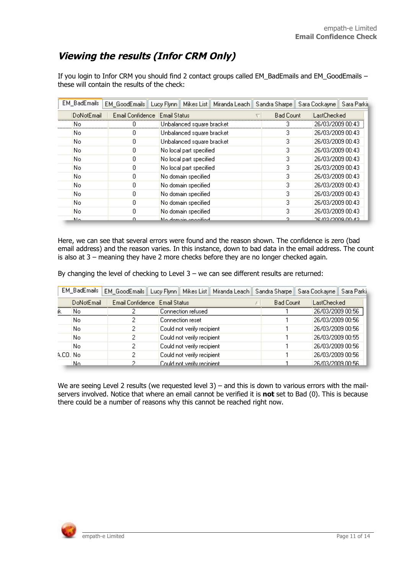### **Viewing the results (Infor CRM Only)**

If you login to Infor CRM you should find 2 contact groups called EM\_BadEmails and EM\_GoodEmails – these will contain the results of the check:

| EM_BadEmails |                                 | EM_GoodEmails   Lucy Flynn    Mikes List    Miranda Leach    Sandra Sharpe    Sara Cockayne    Sara Parkir |                  |                       |
|--------------|---------------------------------|------------------------------------------------------------------------------------------------------------|------------------|-----------------------|
| DoNotEmail   | Email Confidence   Email Status |                                                                                                            | <b>Bad Count</b> | LastChecked           |
| No.          |                                 | Unbalanced square bracket                                                                                  | з                | 26/03/2009 00:43      |
| No.          |                                 | Unbalanced square bracket                                                                                  |                  | 26/03/2009 00:43      |
| No.          | Ο                               | Unbalanced square bracket                                                                                  | 3                | 26/03/2009 00:43      |
| No.          | 0                               | No local part specified                                                                                    | 3.               | 26/03/2009 00:43      |
| No.          | 0                               | No local part specified                                                                                    | 3                | 26/03/2009 00:43      |
| No.          | 0                               | No local part specified                                                                                    | 3                | 26/03/2009 00:43      |
| No.          | Ω                               | No domain specified                                                                                        | 3                | 26/03/2009 00:43      |
| No.          | 0                               | No domain specified                                                                                        | 3                | 26/03/2009 00:43      |
| No.          | n                               | No domain specified                                                                                        | з                | 26/03/2009 00:43      |
| No.          | n                               | No domain specified                                                                                        | 3                | 26/03/2009 00:43      |
| No.          | 0                               | No domain specified                                                                                        | 3                | 26/03/2009 00:43      |
| Me.          | Ω                               | No domain oppoiting                                                                                        | ο.               | יכוז יחח פחחמו כחו סמ |

Here, we can see that several errors were found and the reason shown. The confidence is zero (bad email address) and the reason varies. In this instance, down to bad data in the email address. The count is also at 3 – meaning they have 2 more checks before they are no longer checked again.

|  |  |  | By changing the level of checking to Level $3 -$ we can see different results are returned: |  |
|--|--|--|---------------------------------------------------------------------------------------------|--|
|  |  |  |                                                                                             |  |

|          | EM_BadEmails |   | EM_GoodEmails   Lucy Flynn   Mikes List   Miranda Leach   Sandra Sharpe   Sara Cockayne   Sara Parki |  |                  |                  |  |
|----------|--------------|---|------------------------------------------------------------------------------------------------------|--|------------------|------------------|--|
|          | DoNotEmail   |   | Email Confidence   Email Status                                                                      |  | <b>Bad Count</b> | LastChecked      |  |
| ık       | No           |   | Connection refused                                                                                   |  |                  | 26/03/2009 00:56 |  |
|          | No           |   | Connection reset                                                                                     |  |                  | 26/03/2009 00:56 |  |
|          | No<br>2      |   | Could not verify recipient                                                                           |  |                  | 26/03/2009 00:56 |  |
|          | No<br>2      |   | Could not verify recipient                                                                           |  |                  | 26/03/2009 00:55 |  |
|          | No           | 2 | Could not verify recipient                                                                           |  |                  | 26/03/2009 00:56 |  |
| A.CO. No |              | 2 | Could not verify recipient                                                                           |  |                  | 26/03/2009 00:56 |  |
|          | No.          |   | Could not verify recipient.                                                                          |  |                  | 26/03/2009 00:56 |  |

We are seeing Level 2 results (we requested level 3) – and this is down to various errors with the mailservers involved. Notice that where an email cannot be verified it is **not** set to Bad (0). This is because there could be a number of reasons why this cannot be reached right now.

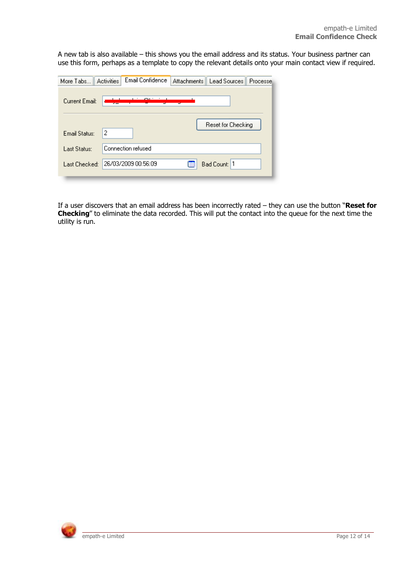A new tab is also available – this shows you the email address and its status. Your business partner can use this form, perhaps as a template to copy the relevant details onto your main contact view if required.

| More Tabs      | Email Confidence<br><b>Activities</b> | <b>Attachments</b> | Lead Sources       | Processe |
|----------------|---------------------------------------|--------------------|--------------------|----------|
| Current Email: |                                       |                    |                    |          |
| Email Status:  | 2                                     |                    | Reset for Checking |          |
| Last Status:   | Connection refused                    |                    |                    |          |
| Last Checked:  | 26/03/2009 00:56:09                   | 哪                  | Bad Count: 1       |          |

If a user discovers that an email address has been incorrectly rated – they can use the button "**Reset for Checking**" to eliminate the data recorded. This will put the contact into the queue for the next time the utility is run.

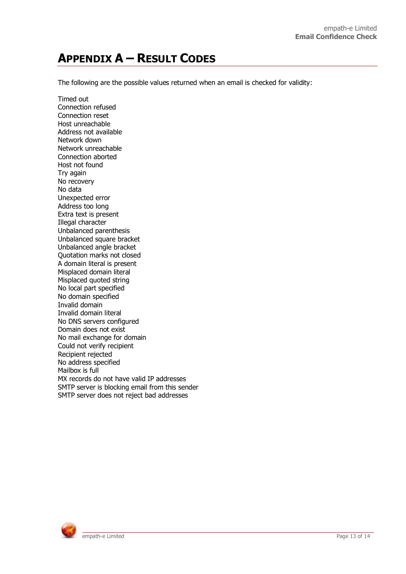# **APPENDIX A – RESULT CODES**

The following are the possible values returned when an email is checked for validity:

Timed out Connection refused Connection reset Host unreachable Address not available Network down Network unreachable Connection aborted Host not found Try again No recovery No data Unexpected error Address too long Extra text is present Illegal character Unbalanced parenthesis Unbalanced square bracket Unbalanced angle bracket Quotation marks not closed A domain literal is present Misplaced domain literal Misplaced quoted string No local part specified No domain specified Invalid domain Invalid domain literal No DNS servers configured Domain does not exist No mail exchange for domain Could not verify recipient Recipient rejected No address specified Mailbox is full MX records do not have valid IP addresses SMTP server is blocking email from this sender SMTP server does not reject bad addresses